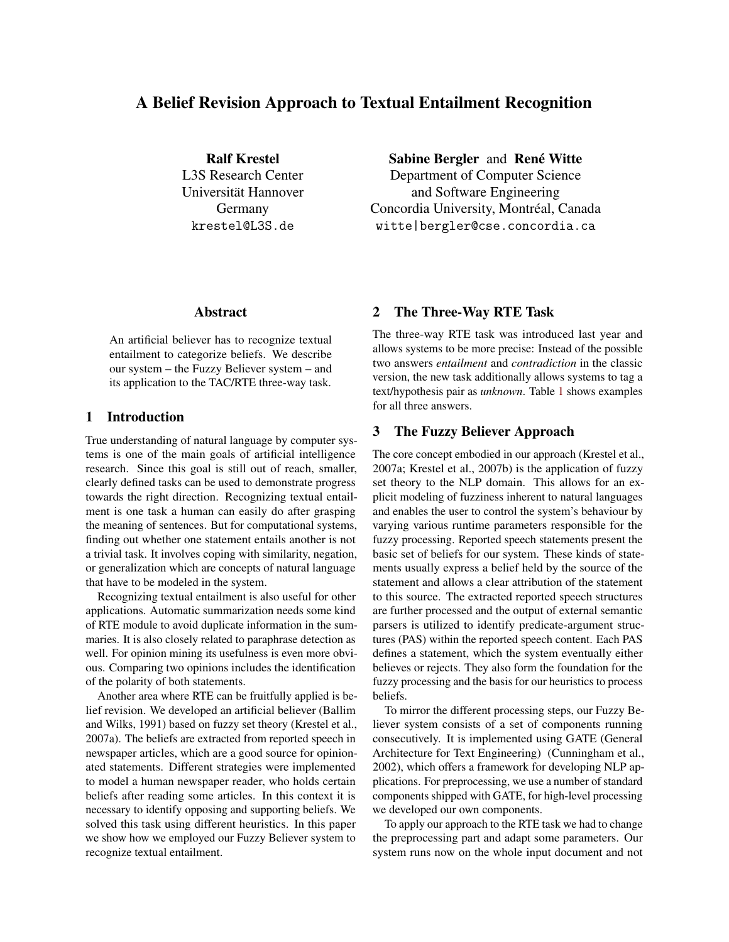# A Belief Revision Approach to Textual Entailment Recognition

Ralf Krestel L3S Research Center Universität Hannover Germany krestel@L3S.de

### Abstract

An artificial believer has to recognize textual entailment to categorize beliefs. We describe our system – the Fuzzy Believer system – and its application to the TAC/RTE three-way task.

# 1 Introduction

True understanding of natural language by computer systems is one of the main goals of artificial intelligence research. Since this goal is still out of reach, smaller, clearly defined tasks can be used to demonstrate progress towards the right direction. Recognizing textual entailment is one task a human can easily do after grasping the meaning of sentences. But for computational systems, finding out whether one statement entails another is not a trivial task. It involves coping with similarity, negation, or generalization which are concepts of natural language that have to be modeled in the system.

Recognizing textual entailment is also useful for other applications. Automatic summarization needs some kind of RTE module to avoid duplicate information in the summaries. It is also closely related to paraphrase detection as well. For opinion mining its usefulness is even more obvious. Comparing two opinions includes the identification of the polarity of both statements.

Another area where RTE can be fruitfully applied is belief revision. We developed an artificial believer (Ballim and Wilks, 1991) based on fuzzy set theory (Krestel et al., 2007a). The beliefs are extracted from reported speech in newspaper articles, which are a good source for opinionated statements. Different strategies were implemented to model a human newspaper reader, who holds certain beliefs after reading some articles. In this context it is necessary to identify opposing and supporting beliefs. We solved this task using different heuristics. In this paper we show how we employed our Fuzzy Believer system to recognize textual entailment.

Sabine Bergler and René Witte

Department of Computer Science and Software Engineering Concordia University, Montréal, Canada witte|bergler@cse.concordia.ca

### 2 The Three-Way RTE Task

The three-way RTE task was introduced last year and allows systems to be more precise: Instead of the possible two answers *entailment* and *contradiction* in the classic version, the new task additionally allows systems to tag a text/hypothesis pair as *unknown*. Table [1](#page-1-0) shows examples for all three answers.

# 3 The Fuzzy Believer Approach

The core concept embodied in our approach (Krestel et al., 2007a; Krestel et al., 2007b) is the application of fuzzy set theory to the NLP domain. This allows for an explicit modeling of fuzziness inherent to natural languages and enables the user to control the system's behaviour by varying various runtime parameters responsible for the fuzzy processing. Reported speech statements present the basic set of beliefs for our system. These kinds of statements usually express a belief held by the source of the statement and allows a clear attribution of the statement to this source. The extracted reported speech structures are further processed and the output of external semantic parsers is utilized to identify predicate-argument structures (PAS) within the reported speech content. Each PAS defines a statement, which the system eventually either believes or rejects. They also form the foundation for the fuzzy processing and the basis for our heuristics to process beliefs.

To mirror the different processing steps, our Fuzzy Believer system consists of a set of components running consecutively. It is implemented using GATE (General Architecture for Text Engineering) (Cunningham et al., 2002), which offers a framework for developing NLP applications. For preprocessing, we use a number of standard components shipped with GATE, for high-level processing we developed our own components.

To apply our approach to the RTE task we had to change the preprocessing part and adapt some parameters. Our system runs now on the whole input document and not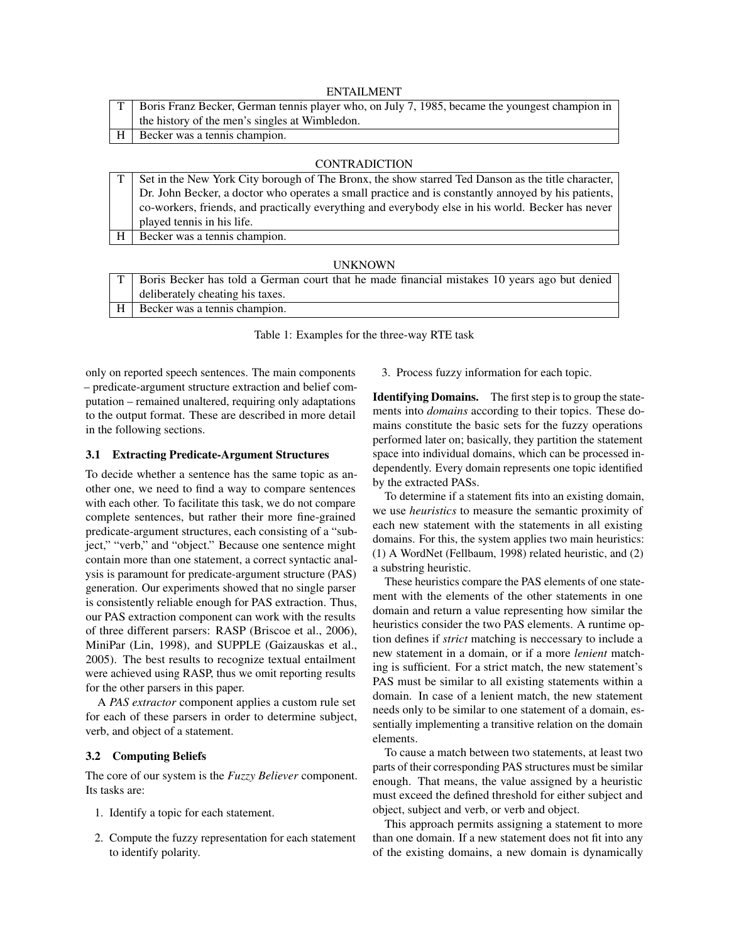|   | ENTAILMENT                                                                                     |
|---|------------------------------------------------------------------------------------------------|
|   | Boris Franz Becker, German tennis player who, on July 7, 1985, became the youngest champion in |
|   | the history of the men's singles at Wimbledon.                                                 |
| H | Becker was a tennis champion.                                                                  |
|   |                                                                                                |

### CONTRADICTION

|                | Set in the New York City borough of The Bronx, the show starred Ted Danson as the title character, |
|----------------|----------------------------------------------------------------------------------------------------|
|                | Dr. John Becker, a doctor who operates a small practice and is constantly annoyed by his patients, |
|                | co-workers, friends, and practically everything and everybody else in his world. Becker has never  |
|                | played tennis in his life.                                                                         |
| H <sub>1</sub> | Becker was a tennis champion.                                                                      |

#### UNKNOWN

| T   Boris Becker has told a German court that he made financial mistakes 10 years ago but denied |
|--------------------------------------------------------------------------------------------------|
| deliberately cheating his taxes.                                                                 |
| H   Becker was a tennis champion.                                                                |

<span id="page-1-0"></span>Table 1: Examples for the three-way RTE task

only on reported speech sentences. The main components – predicate-argument structure extraction and belief computation – remained unaltered, requiring only adaptations to the output format. These are described in more detail in the following sections.

#### 3.1 Extracting Predicate-Argument Structures

To decide whether a sentence has the same topic as another one, we need to find a way to compare sentences with each other. To facilitate this task, we do not compare complete sentences, but rather their more fine-grained predicate-argument structures, each consisting of a "subject," "verb," and "object." Because one sentence might contain more than one statement, a correct syntactic analysis is paramount for predicate-argument structure (PAS) generation. Our experiments showed that no single parser is consistently reliable enough for PAS extraction. Thus, our PAS extraction component can work with the results of three different parsers: RASP (Briscoe et al., 2006), MiniPar (Lin, 1998), and SUPPLE (Gaizauskas et al., 2005). The best results to recognize textual entailment were achieved using RASP, thus we omit reporting results for the other parsers in this paper.

A *PAS extractor* component applies a custom rule set for each of these parsers in order to determine subject, verb, and object of a statement.

#### 3.2 Computing Beliefs

The core of our system is the *Fuzzy Believer* component. Its tasks are:

- 1. Identify a topic for each statement.
- 2. Compute the fuzzy representation for each statement to identify polarity.

3. Process fuzzy information for each topic.

Identifying Domains. The first step is to group the statements into *domains* according to their topics. These domains constitute the basic sets for the fuzzy operations performed later on; basically, they partition the statement space into individual domains, which can be processed independently. Every domain represents one topic identified by the extracted PASs.

To determine if a statement fits into an existing domain, we use *heuristics* to measure the semantic proximity of each new statement with the statements in all existing domains. For this, the system applies two main heuristics: (1) A WordNet (Fellbaum, 1998) related heuristic, and (2) a substring heuristic.

These heuristics compare the PAS elements of one statement with the elements of the other statements in one domain and return a value representing how similar the heuristics consider the two PAS elements. A runtime option defines if *strict* matching is neccessary to include a new statement in a domain, or if a more *lenient* matching is sufficient. For a strict match, the new statement's PAS must be similar to all existing statements within a domain. In case of a lenient match, the new statement needs only to be similar to one statement of a domain, essentially implementing a transitive relation on the domain elements.

To cause a match between two statements, at least two parts of their corresponding PAS structures must be similar enough. That means, the value assigned by a heuristic must exceed the defined threshold for either subject and object, subject and verb, or verb and object.

This approach permits assigning a statement to more than one domain. If a new statement does not fit into any of the existing domains, a new domain is dynamically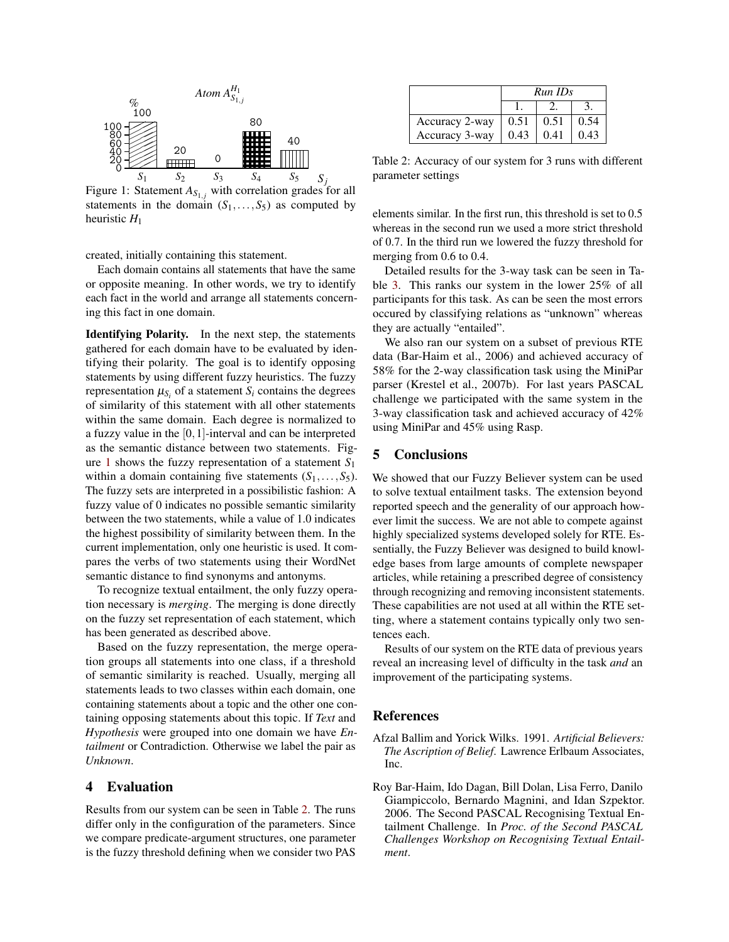

<span id="page-2-0"></span>Figure 1: Statement  $A_{S_{1,j}}$  with correlation grades for all statements in the domain  $(S_1, \ldots, S_5)$  as computed by heuristic *H*<sup>1</sup>

created, initially containing this statement.

Each domain contains all statements that have the same or opposite meaning. In other words, we try to identify each fact in the world and arrange all statements concerning this fact in one domain.

Identifying Polarity. In the next step, the statements gathered for each domain have to be evaluated by identifying their polarity. The goal is to identify opposing statements by using different fuzzy heuristics. The fuzzy representation  $\mu_{S_i}$  of a statement  $S_i$  contains the degrees of similarity of this statement with all other statements within the same domain. Each degree is normalized to a fuzzy value in the [0,1]-interval and can be interpreted as the semantic distance between two statements. Figure [1](#page-2-0) shows the fuzzy representation of a statement *S*<sup>1</sup> within a domain containing five statements  $(S_1, \ldots, S_5)$ . The fuzzy sets are interpreted in a possibilistic fashion: A fuzzy value of 0 indicates no possible semantic similarity between the two statements, while a value of 1.0 indicates the highest possibility of similarity between them. In the current implementation, only one heuristic is used. It compares the verbs of two statements using their WordNet semantic distance to find synonyms and antonyms.

To recognize textual entailment, the only fuzzy operation necessary is *merging*. The merging is done directly on the fuzzy set representation of each statement, which has been generated as described above.

Based on the fuzzy representation, the merge operation groups all statements into one class, if a threshold of semantic similarity is reached. Usually, merging all statements leads to two classes within each domain, one containing statements about a topic and the other one containing opposing statements about this topic. If *Text* and *Hypothesis* were grouped into one domain we have *Entailment* or Contradiction. Otherwise we label the pair as *Unknown*.

## 4 Evaluation

Results from our system can be seen in Table [2.](#page-2-1) The runs differ only in the configuration of the parameters. Since we compare predicate-argument structures, one parameter is the fuzzy threshold defining when we consider two PAS

|                | Run IDs |      |      |
|----------------|---------|------|------|
|                |         |      |      |
| Accuracy 2-way | 0.51    | 0.51 | 0.54 |
| Accuracy 3-way | 0.43    | 0.41 | 0.43 |

<span id="page-2-1"></span>Table 2: Accuracy of our system for 3 runs with different parameter settings

elements similar. In the first run, this threshold is set to 0.5 whereas in the second run we used a more strict threshold of 0.7. In the third run we lowered the fuzzy threshold for merging from 0.6 to 0.4.

Detailed results for the 3-way task can be seen in Table [3.](#page-3-0) This ranks our system in the lower 25% of all participants for this task. As can be seen the most errors occured by classifying relations as "unknown" whereas they are actually "entailed".

We also ran our system on a subset of previous RTE data (Bar-Haim et al., 2006) and achieved accuracy of 58% for the 2-way classification task using the MiniPar parser (Krestel et al., 2007b). For last years PASCAL challenge we participated with the same system in the 3-way classification task and achieved accuracy of 42% using MiniPar and 45% using Rasp.

## 5 Conclusions

We showed that our Fuzzy Believer system can be used to solve textual entailment tasks. The extension beyond reported speech and the generality of our approach however limit the success. We are not able to compete against highly specialized systems developed solely for RTE. Essentially, the Fuzzy Believer was designed to build knowledge bases from large amounts of complete newspaper articles, while retaining a prescribed degree of consistency through recognizing and removing inconsistent statements. These capabilities are not used at all within the RTE setting, where a statement contains typically only two sentences each.

Results of our system on the RTE data of previous years reveal an increasing level of difficulty in the task *and* an improvement of the participating systems.

# References

- Afzal Ballim and Yorick Wilks. 1991. *Artificial Believers: The Ascription of Belief*. Lawrence Erlbaum Associates, Inc.
- Roy Bar-Haim, Ido Dagan, Bill Dolan, Lisa Ferro, Danilo Giampiccolo, Bernardo Magnini, and Idan Szpektor. 2006. The Second PASCAL Recognising Textual Entailment Challenge. In *Proc. of the Second PASCAL Challenges Workshop on Recognising Textual Entailment*.